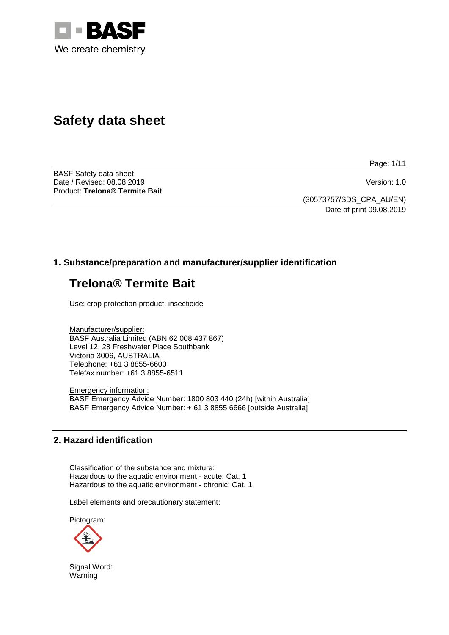

# **Safety data sheet**

Page: 1/11

BASF Safety data sheet Date / Revised: 08.08.2019 Version: 1.0 Product: **Trelona® Termite Bait**

(30573757/SDS\_CPA\_AU/EN) Date of print 09.08.2019

# **1. Substance/preparation and manufacturer/supplier identification**

# **Trelona® Termite Bait**

Use: crop protection product, insecticide

Manufacturer/supplier: BASF Australia Limited (ABN 62 008 437 867) Level 12, 28 Freshwater Place Southbank Victoria 3006, AUSTRALIA Telephone: +61 3 8855-6600 Telefax number: +61 3 8855-6511

Emergency information: BASF Emergency Advice Number: 1800 803 440 (24h) [within Australia] BASF Emergency Advice Number: + 61 3 8855 6666 [outside Australia]

## **2. Hazard identification**

Classification of the substance and mixture: Hazardous to the aquatic environment - acute: Cat. 1 Hazardous to the aquatic environment - chronic: Cat. 1

Label elements and precautionary statement:

Pictogram:



Signal Word: Warning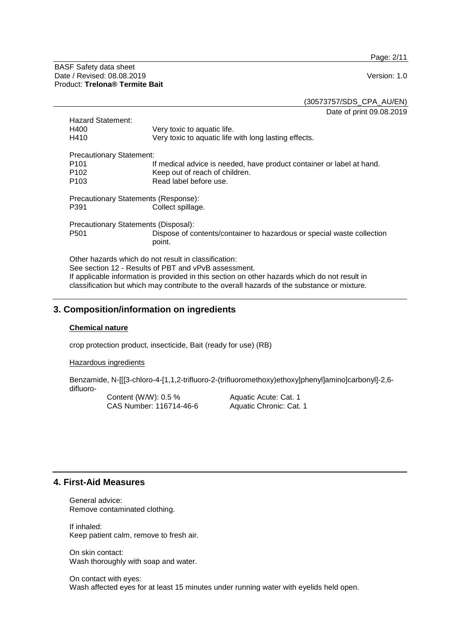Page: 2/11

BASF Safety data sheet Date / Revised: 08.08.2019 Version: 1.0 Product: **Trelona® Termite Bait**

(30573757/SDS\_CPA\_AU/EN)

Date of print 09.08.2019

| Hazard Statement:                                    |                                                                                  |  |  |
|------------------------------------------------------|----------------------------------------------------------------------------------|--|--|
| H400                                                 | Very toxic to aquatic life.                                                      |  |  |
| H410                                                 | Very toxic to aquatic life with long lasting effects.                            |  |  |
| <b>Precautionary Statement:</b>                      |                                                                                  |  |  |
| P <sub>101</sub>                                     | If medical advice is needed, have product container or label at hand.            |  |  |
| P <sub>102</sub>                                     | Keep out of reach of children.                                                   |  |  |
| P <sub>103</sub>                                     | Read label before use.                                                           |  |  |
| Precautionary Statements (Response):                 |                                                                                  |  |  |
| P391                                                 | Collect spillage.                                                                |  |  |
| Precautionary Statements (Disposal):                 |                                                                                  |  |  |
| P <sub>501</sub>                                     | Dispose of contents/container to hazardous or special waste collection<br>point. |  |  |
| Other hazarde which do not recult in classification: |                                                                                  |  |  |

Other hazards which do not result in classification: See section 12 - Results of PBT and vPvB assessment. If applicable information is provided in this section on other hazards which do not result in classification but which may contribute to the overall hazards of the substance or mixture.

## **3. Composition/information on ingredients**

#### **Chemical nature**

crop protection product, insecticide, Bait (ready for use) (RB)

Hazardous ingredients

Benzamide, N-[[[3-chloro-4-[1,1,2-trifluoro-2-(trifluoromethoxy)ethoxy]phenyl]amino]carbonyl]-2,6 difluoro-

Content (W/W): 0.5 % CAS Number: 116714-46-6 Aquatic Acute: Cat. 1 Aquatic Chronic: Cat. 1

#### **4. First-Aid Measures**

General advice: Remove contaminated clothing.

If inhaled: Keep patient calm, remove to fresh air.

On skin contact: Wash thoroughly with soap and water.

On contact with eyes: Wash affected eyes for at least 15 minutes under running water with eyelids held open.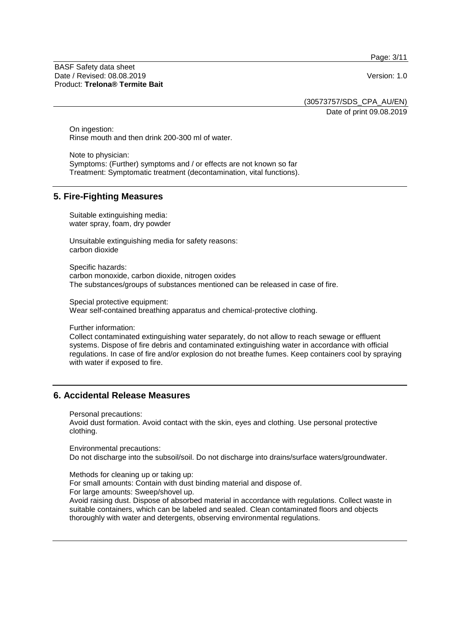Page: 3/11

BASF Safety data sheet Date / Revised: 08.08.2019 Version: 1.0 Product: **Trelona® Termite Bait**

(30573757/SDS\_CPA\_AU/EN) Date of print 09.08.2019

On ingestion: Rinse mouth and then drink 200-300 ml of water.

Note to physician: Symptoms: (Further) symptoms and / or effects are not known so far Treatment: Symptomatic treatment (decontamination, vital functions).

## **5. Fire-Fighting Measures**

Suitable extinguishing media: water spray, foam, dry powder

Unsuitable extinguishing media for safety reasons: carbon dioxide

Specific hazards: carbon monoxide, carbon dioxide, nitrogen oxides The substances/groups of substances mentioned can be released in case of fire.

Special protective equipment: Wear self-contained breathing apparatus and chemical-protective clothing.

Further information:

Collect contaminated extinguishing water separately, do not allow to reach sewage or effluent systems. Dispose of fire debris and contaminated extinguishing water in accordance with official regulations. In case of fire and/or explosion do not breathe fumes. Keep containers cool by spraying with water if exposed to fire.

## **6. Accidental Release Measures**

Personal precautions:

Avoid dust formation. Avoid contact with the skin, eyes and clothing. Use personal protective clothing.

Environmental precautions: Do not discharge into the subsoil/soil. Do not discharge into drains/surface waters/groundwater.

Methods for cleaning up or taking up: For small amounts: Contain with dust binding material and dispose of. For large amounts: Sweep/shovel up. Avoid raising dust. Dispose of absorbed material in accordance with regulations. Collect waste in suitable containers, which can be labeled and sealed. Clean contaminated floors and objects

thoroughly with water and detergents, observing environmental regulations.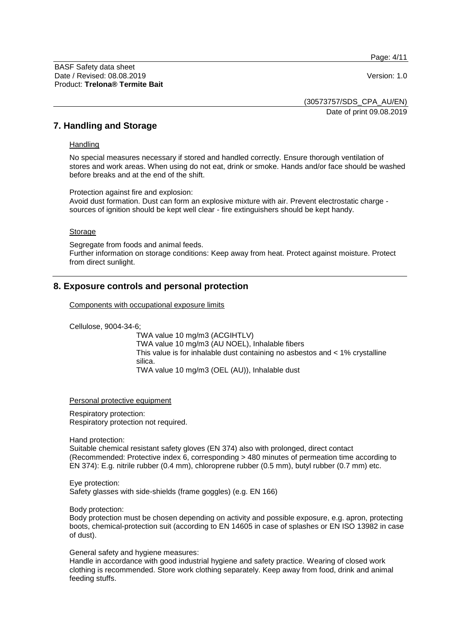Page: 4/11

(30573757/SDS\_CPA\_AU/EN) Date of print 09.08.2019

#### **7. Handling and Storage**

#### **Handling**

No special measures necessary if stored and handled correctly. Ensure thorough ventilation of stores and work areas. When using do not eat, drink or smoke. Hands and/or face should be washed before breaks and at the end of the shift.

Protection against fire and explosion: Avoid dust formation. Dust can form an explosive mixture with air. Prevent electrostatic charge sources of ignition should be kept well clear - fire extinguishers should be kept handy.

#### Storage

Segregate from foods and animal feeds. Further information on storage conditions: Keep away from heat. Protect against moisture. Protect from direct sunlight.

## **8. Exposure controls and personal protection**

Components with occupational exposure limits

Cellulose, 9004-34-6;

TWA value 10 mg/m3 (ACGIHTLV) TWA value 10 mg/m3 (AU NOEL), Inhalable fibers This value is for inhalable dust containing no asbestos and < 1% crystalline silica. TWA value 10 mg/m3 (OEL (AU)), Inhalable dust

Personal protective equipment

Respiratory protection: Respiratory protection not required.

Hand protection:

Suitable chemical resistant safety gloves (EN 374) also with prolonged, direct contact (Recommended: Protective index 6, corresponding > 480 minutes of permeation time according to EN 374): E.g. nitrile rubber (0.4 mm), chloroprene rubber (0.5 mm), butyl rubber (0.7 mm) etc.

Eye protection: Safety glasses with side-shields (frame goggles) (e.g. EN 166)

Body protection:

Body protection must be chosen depending on activity and possible exposure, e.g. apron, protecting boots, chemical-protection suit (according to EN 14605 in case of splashes or EN ISO 13982 in case of dust).

General safety and hygiene measures:

Handle in accordance with good industrial hygiene and safety practice. Wearing of closed work clothing is recommended. Store work clothing separately. Keep away from food, drink and animal feeding stuffs.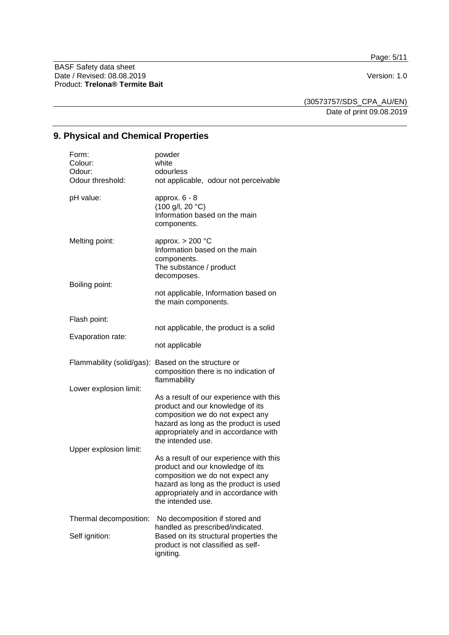Page: 5/11

BASF Safety data sheet Date / Revised: 08.08.2019 Version: 1.0 Product: **Trelona® Termite Bait**

(30573757/SDS\_CPA\_AU/EN) Date of print 09.08.2019

# **9. Physical and Chemical Properties**

| Form:<br>Colour:<br>Odour:<br>Odour threshold: | powder<br>white<br>odourless<br>not applicable, odour not perceivable                                                                                                                                                 |
|------------------------------------------------|-----------------------------------------------------------------------------------------------------------------------------------------------------------------------------------------------------------------------|
| pH value:                                      | approx. $6 - 8$<br>(100 g/l, 20 °C)<br>Information based on the main<br>components.                                                                                                                                   |
| Melting point:                                 | approx. $> 200$ °C<br>Information based on the main<br>components.<br>The substance / product<br>decomposes.                                                                                                          |
| Boiling point:                                 | not applicable, Information based on<br>the main components.                                                                                                                                                          |
| Flash point:                                   |                                                                                                                                                                                                                       |
| Evaporation rate:                              | not applicable, the product is a solid                                                                                                                                                                                |
|                                                | not applicable                                                                                                                                                                                                        |
| Flammability (solid/gas):                      | Based on the structure or<br>composition there is no indication of<br>flammability                                                                                                                                    |
| Lower explosion limit:                         | As a result of our experience with this<br>product and our knowledge of its<br>composition we do not expect any<br>hazard as long as the product is used<br>appropriately and in accordance with<br>the intended use. |
| Upper explosion limit:                         | As a result of our experience with this<br>product and our knowledge of its<br>composition we do not expect any<br>hazard as long as the product is used                                                              |
|                                                | appropriately and in accordance with<br>the intended use.                                                                                                                                                             |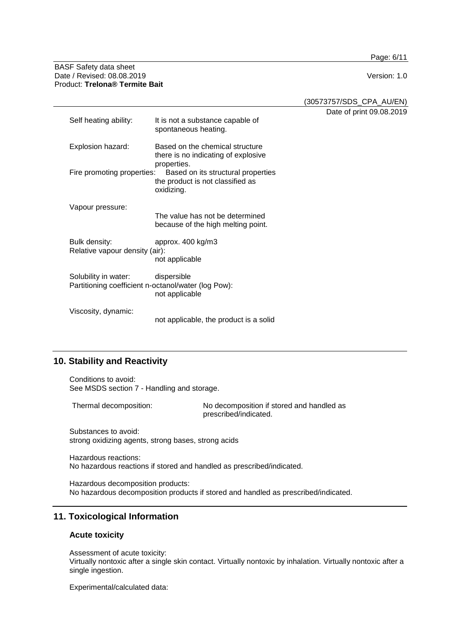Page: 6/11

#### BASF Safety data sheet Date / Revised: 08.08.2019 Version: 1.0 Product: **Trelona® Termite Bait**

(30573757/SDS\_CPA\_AU/EN)

Date of print 09.08.2019

| Self heating ability:                                                                   | It is not a substance capable of<br>spontaneous heating.                              |
|-----------------------------------------------------------------------------------------|---------------------------------------------------------------------------------------|
| Explosion hazard:                                                                       | Based on the chemical structure<br>there is no indicating of explosive<br>properties. |
| Fire promoting properties:                                                              | Based on its structural properties<br>the product is not classified as<br>oxidizing.  |
| Vapour pressure:                                                                        | The value has not be determined<br>because of the high melting point.                 |
| Bulk density:<br>Relative vapour density (air):                                         | approx. 400 kg/m3<br>not applicable                                                   |
| Solubility in water: dispersible<br>Partitioning coefficient n-octanol/water (log Pow): | not applicable                                                                        |
| Viscosity, dynamic:                                                                     | not applicable, the product is a solid                                                |

# **10. Stability and Reactivity**

Conditions to avoid: See MSDS section 7 - Handling and storage.

Thermal decomposition: No decomposition if stored and handled as prescribed/indicated.

Substances to avoid: strong oxidizing agents, strong bases, strong acids

Hazardous reactions: No hazardous reactions if stored and handled as prescribed/indicated.

Hazardous decomposition products: No hazardous decomposition products if stored and handled as prescribed/indicated.

# **11. Toxicological Information**

## **Acute toxicity**

Assessment of acute toxicity:

Virtually nontoxic after a single skin contact. Virtually nontoxic by inhalation. Virtually nontoxic after a single ingestion.

Experimental/calculated data: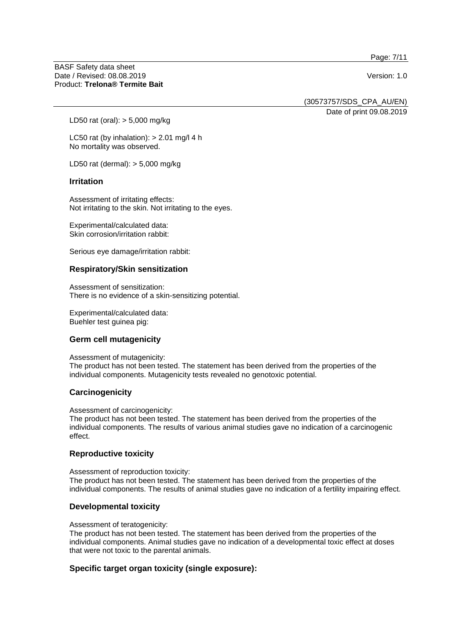Page: 7/11

BASF Safety data sheet Date / Revised: 08.08.2019 Version: 1.0 Product: **Trelona® Termite Bait**

(30573757/SDS\_CPA\_AU/EN)

Date of print 09.08.2019

LD50 rat (oral): > 5,000 mg/kg

LC50 rat (by inhalation):  $> 2.01$  mg/l 4 h No mortality was observed.

LD50 rat (dermal): > 5,000 mg/kg

#### **Irritation**

Assessment of irritating effects: Not irritating to the skin. Not irritating to the eyes.

Experimental/calculated data: Skin corrosion/irritation rabbit:

Serious eye damage/irritation rabbit:

#### **Respiratory/Skin sensitization**

Assessment of sensitization: There is no evidence of a skin-sensitizing potential.

Experimental/calculated data: Buehler test guinea pig:

## **Germ cell mutagenicity**

Assessment of mutagenicity:

The product has not been tested. The statement has been derived from the properties of the individual components. Mutagenicity tests revealed no genotoxic potential.

#### **Carcinogenicity**

Assessment of carcinogenicity:

The product has not been tested. The statement has been derived from the properties of the individual components. The results of various animal studies gave no indication of a carcinogenic effect.

#### **Reproductive toxicity**

Assessment of reproduction toxicity: The product has not been tested. The statement has been derived from the properties of the individual components. The results of animal studies gave no indication of a fertility impairing effect.

#### **Developmental toxicity**

Assessment of teratogenicity:

The product has not been tested. The statement has been derived from the properties of the individual components. Animal studies gave no indication of a developmental toxic effect at doses that were not toxic to the parental animals.

#### **Specific target organ toxicity (single exposure):**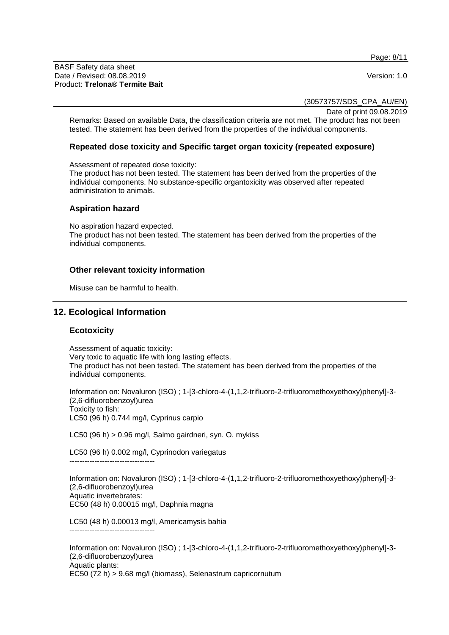Page: 8/11

BASF Safety data sheet Date / Revised: 08.08.2019 Version: 1.0 Product: **Trelona® Termite Bait**

(30573757/SDS\_CPA\_AU/EN)

Date of print 09.08.2019

Remarks: Based on available Data, the classification criteria are not met. The product has not been tested. The statement has been derived from the properties of the individual components.

#### **Repeated dose toxicity and Specific target organ toxicity (repeated exposure)**

Assessment of repeated dose toxicity:

The product has not been tested. The statement has been derived from the properties of the individual components. No substance-specific organtoxicity was observed after repeated administration to animals.

#### **Aspiration hazard**

No aspiration hazard expected.

The product has not been tested. The statement has been derived from the properties of the individual components.

#### **Other relevant toxicity information**

Misuse can be harmful to health.

## **12. Ecological Information**

#### **Ecotoxicity**

Assessment of aquatic toxicity: Very toxic to aquatic life with long lasting effects. The product has not been tested. The statement has been derived from the properties of the individual components.

Information on: Novaluron (ISO) ; 1-[3-chloro-4-(1,1,2-trifluoro-2-trifluoromethoxyethoxy)phenyl]-3- (2,6-difluorobenzoyl)urea Toxicity to fish: LC50 (96 h) 0.744 mg/l, Cyprinus carpio

LC50 (96 h) > 0.96 mg/l, Salmo gairdneri, syn. O. mykiss

LC50 (96 h) 0.002 mg/l, Cyprinodon variegatus ----------------------------------

Information on: Novaluron (ISO) ; 1-[3-chloro-4-(1,1,2-trifluoro-2-trifluoromethoxyethoxy)phenyl]-3- (2,6-difluorobenzoyl)urea Aquatic invertebrates: EC50 (48 h) 0.00015 mg/l, Daphnia magna

LC50 (48 h) 0.00013 mg/l, Americamysis bahia ----------------------------------

Information on: Novaluron (ISO) ; 1-[3-chloro-4-(1,1,2-trifluoro-2-trifluoromethoxyethoxy)phenyl]-3- (2,6-difluorobenzoyl)urea Aquatic plants: EC50 (72 h) > 9.68 mg/l (biomass), Selenastrum capricornutum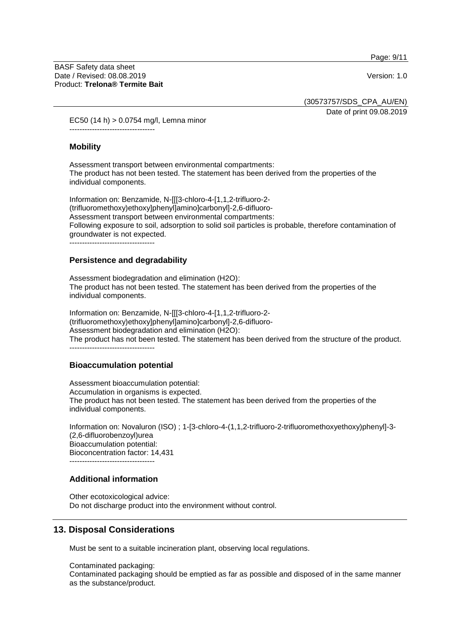Page: 9/11

(30573757/SDS\_CPA\_AU/EN)

Date of print 09.08.2019

EC50 (14 h) > 0.0754 mg/l, Lemna minor ----------------------------------

#### **Mobility**

Assessment transport between environmental compartments: The product has not been tested. The statement has been derived from the properties of the individual components.

Information on: Benzamide, N-[[[3-chloro-4-[1,1,2-trifluoro-2- (trifluoromethoxy)ethoxy]phenyl]amino]carbonyl]-2,6-difluoro-Assessment transport between environmental compartments: Following exposure to soil, adsorption to solid soil particles is probable, therefore contamination of groundwater is not expected. ----------------------------------

#### **Persistence and degradability**

Assessment biodegradation and elimination (H2O): The product has not been tested. The statement has been derived from the properties of the individual components.

Information on: Benzamide, N-[[[3-chloro-4-[1,1,2-trifluoro-2- (trifluoromethoxy)ethoxy]phenyl]amino]carbonyl]-2,6-difluoro-Assessment biodegradation and elimination (H2O): The product has not been tested. The statement has been derived from the structure of the product. ----------------------------------

#### **Bioaccumulation potential**

Assessment bioaccumulation potential: Accumulation in organisms is expected. The product has not been tested. The statement has been derived from the properties of the individual components.

Information on: Novaluron (ISO) ; 1-[3-chloro-4-(1,1,2-trifluoro-2-trifluoromethoxyethoxy)phenyl]-3- (2,6-difluorobenzoyl)urea Bioaccumulation potential: Bioconcentration factor: 14,431  $-$ 

#### **Additional information**

Other ecotoxicological advice: Do not discharge product into the environment without control.

## **13. Disposal Considerations**

Must be sent to a suitable incineration plant, observing local regulations.

Contaminated packaging: Contaminated packaging should be emptied as far as possible and disposed of in the same manner as the substance/product.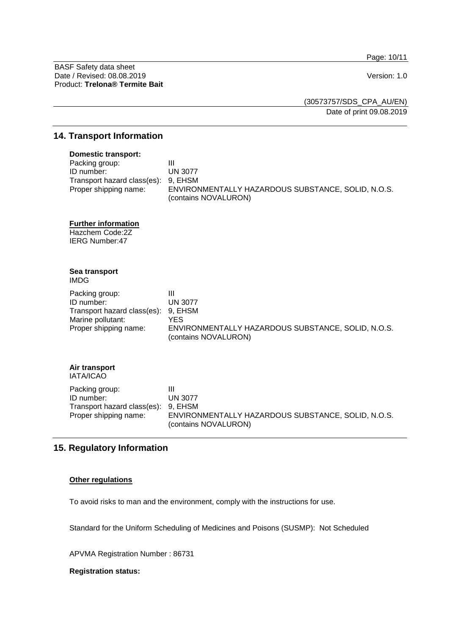Page: 10/11

BASF Safety data sheet Date / Revised: 08.08.2019 Version: 1.0 Product: **Trelona® Termite Bait**

(30573757/SDS\_CPA\_AU/EN) Date of print 09.08.2019

#### **14. Transport Information**

#### **Domestic transport:**

| Packing group:                      | Ш                                                  |
|-------------------------------------|----------------------------------------------------|
| ID number:                          | UN 3077                                            |
| Transport hazard class(es): 9, EHSM |                                                    |
| Proper shipping name:               | ENVIRONMENTALLY HAZARDOUS SUBSTANCE, SOLID, N.O.S. |
|                                     | (contains NOVALURON)                               |

#### **Further information**

Hazchem Code:2Z IERG Number:47

#### **Sea transport** IMDG

| Packing group:                      |                                                                            |
|-------------------------------------|----------------------------------------------------------------------------|
| ID number:                          | UN 3077                                                                    |
| Transport hazard class(es): 9, EHSM |                                                                            |
| Marine pollutant:                   | YES.                                                                       |
| Proper shipping name:               | ENVIRONMENTALLY HAZARDOUS SUBSTANCE, SOLID, N.O.S.<br>(contains NOVALURON) |

# **Air transport**

IATA/ICAO

| Packing group:                      | Ш                                                  |
|-------------------------------------|----------------------------------------------------|
| ID number:                          | UN 3077                                            |
| Transport hazard class(es): 9, EHSM |                                                    |
| Proper shipping name:               | ENVIRONMENTALLY HAZARDOUS SUBSTANCE, SOLID, N.O.S. |
|                                     | (contains NOVALURON)                               |

# **15. Regulatory Information**

#### **Other regulations**

To avoid risks to man and the environment, comply with the instructions for use.

Standard for the Uniform Scheduling of Medicines and Poisons (SUSMP): Not Scheduled

APVMA Registration Number : 86731

#### **Registration status:**